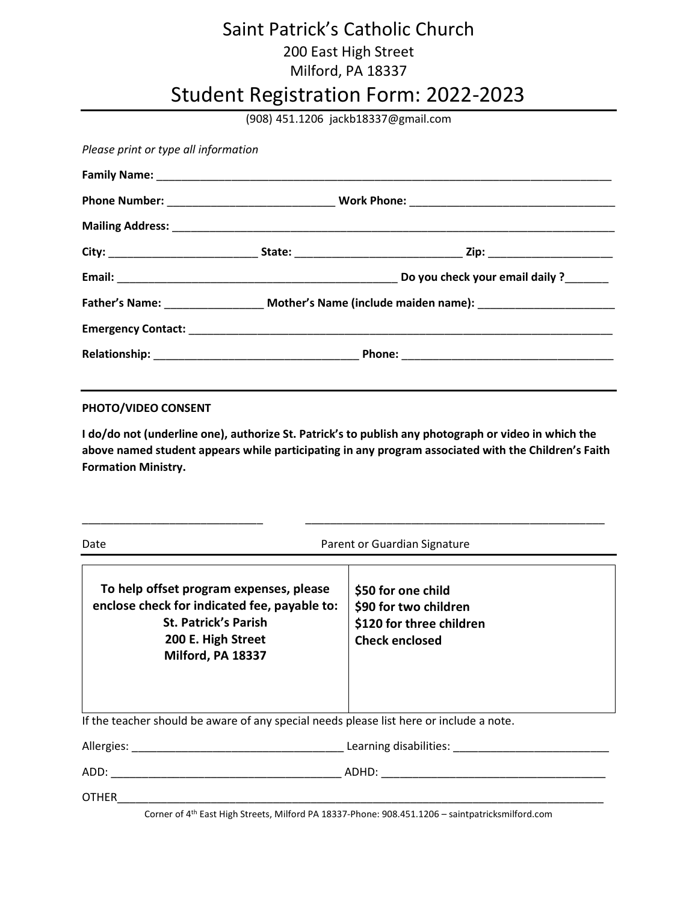## Saint Patrick's Catholic Church 200 East High Street Milford, PA 18337

## Student Registration Form: 2022-2023

(908) 451.1206 jackb18337@gmail.com

Please print or type all information

## PHOTO/VIDEO CONSENT

I do/do not (underline one), authorize St. Patrick's to publish any photograph or video in which the above named student appears while participating in any program associated with the Children's Faith Formation Ministry.

\_\_\_\_\_\_\_\_\_\_\_\_\_\_\_\_\_\_\_\_\_\_\_\_\_\_\_\_\_ \_\_\_\_\_\_\_\_\_\_\_\_\_\_\_\_\_\_\_\_\_\_\_\_\_\_\_\_\_\_\_\_\_\_\_\_\_\_\_\_\_\_\_\_\_\_\_\_

| Date                                                                                                                                                              | Parent or Guardian Signature                                                                     |
|-------------------------------------------------------------------------------------------------------------------------------------------------------------------|--------------------------------------------------------------------------------------------------|
| To help offset program expenses, please<br>enclose check for indicated fee, payable to:<br><b>St. Patrick's Parish</b><br>200 E. High Street<br>Milford, PA 18337 | \$50 for one child<br>\$90 for two children<br>\$120 for three children<br><b>Check enclosed</b> |
| If the teacher should be aware of any special needs please list here or include a note.                                                                           |                                                                                                  |
| Allergies: Learning disabilities:                                                                                                                                 |                                                                                                  |
|                                                                                                                                                                   |                                                                                                  |
| <b>OTHER</b>                                                                                                                                                      |                                                                                                  |
|                                                                                                                                                                   | Corner of 4th East High Stroots, Milford BA 19227 Bhone: 008 451 1206 - saintpatricksmilford com |

Corner of 4th East High Streets, Milford PA 18337-Phone: 908.451.1206 – saintpatricksmilford.com